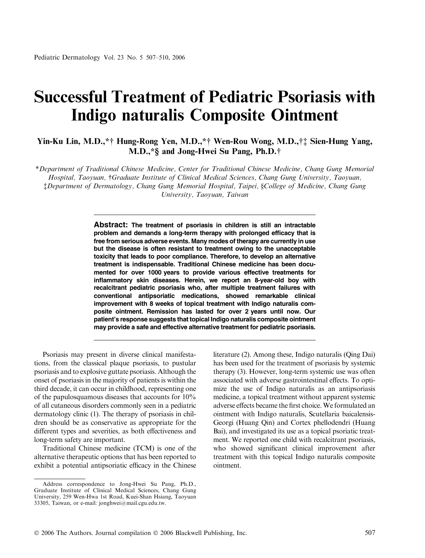## Successful Treatment of Pediatric Psoriasis with Indigo naturalis Composite Ointment

Yin-Ku Lin, M.D.,\*† Hung-Rong Yen, M.D.,\*† Wen-Rou Wong, M.D.,†‡ Sien-Hung Yang, M.D.,\*§ and Jong-Hwei Su Pang, Ph.D.†

\*Department of Traditional Chinese Medicine, Center for Traditional Chinese Medicine, Chang Gung Memorial Hospital, Taoyuan, †Graduate Institute of Clinical Medical Sciences, Chang Gung University, Taoyuan, Department of Dermatology, Chang Gung Memorial Hospital, Taipei, §College of Medicine, Chang Gung University, Taoyuan, Taiwan

> Abstract: The treatment of psoriasis in children is still an intractable problem and demands a long-term therapy with prolonged efficacy that is free from serious adverse events. Many modes of therapy are currently in use but the disease is often resistant to treatment owing to the unacceptable toxicity that leads to poor compliance. Therefore, to develop an alternative treatment is indispensable. Traditional Chinese medicine has been documented for over 1000 years to provide various effective treatments for inflammatory skin diseases. Herein, we report an 8-year-old boy with recalcitrant pediatric psoriasis who, after multiple treatment failures with conventional antipsoriatic medications, showed remarkable clinical improvement with 8 weeks of topical treatment with Indigo naturalis composite ointment. Remission has lasted for over 2 years until now. Our patient's response suggests that topical Indigo naturalis composite ointment may provide a safe and effective alternative treatment for pediatric psoriasis.

Psoriasis may present in diverse clinical manifestations, from the classical plaque psoriasis, to pustular psoriasis and to explosive guttate psoriasis. Although the onset of psoriasis in the majority of patients is within the third decade, it can occur in childhood, representing one of the papulosquamous diseases that accounts for 10% of all cutaneous disorders commonly seen in a pediatric dermatology clinic (1). The therapy of psoriasis in children should be as conservative as appropriate for the different types and severities, as both effectiveness and long-term safety are important.

Traditional Chinese medicine (TCM) is one of the alternative therapeutic options that has been reported to exhibit a potential antipsoriatic efficacy in the Chinese literature (2). Among these, Indigo naturalis (Qing Dai) has been used for the treatment of psoriasis by systemic therapy (3). However, long-term systemic use was often associated with adverse gastrointestinal effects. To optimize the use of Indigo naturalis as an antipsoriasis medicine, a topical treatment without apparent systemic adverse effects became the first choice. We formulated an ointment with Indigo naturalis, Scutellaria baicalensis-Georgi (Huang Qin) and Cortex phellodendri (Huang Bai), and investigated its use as a topical psoriatic treatment. We reported one child with recalcitrant psoriasis, who showed significant clinical improvement after treatment with this topical Indigo naturalis composite ointment.

Address correspondence to Jong-Hwei Su Pang, Ph.D., Graduate Institute of Clinical Medical Sciences, Chang Gung University, 259 Wen-Hwa 1st Road, Kuei-Shan Hsiang, Taoyuan 33305, Taiwan, or e-mail: jonghwei@mail.cgu.edu.tw.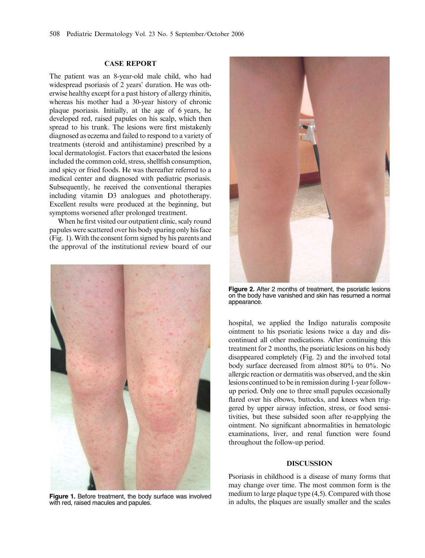## CASE REPORT

The patient was an 8-year-old male child, who had widespread psoriasis of 2 years' duration. He was otherwise healthy except for a past history of allergy rhinitis, whereas his mother had a 30-year history of chronic plaque psoriasis. Initially, at the age of 6 years, he developed red, raised papules on his scalp, which then spread to his trunk. The lesions were first mistakenly diagnosed as eczema and failed to respond to a variety of treatments (steroid and antihistamine) prescribed by a local dermatologist. Factors that exacerbated the lesions included the common cold, stress, shellfish consumption, and spicy or fried foods. He was thereafter referred to a medical center and diagnosed with pediatric psoriasis. Subsequently, he received the conventional therapies including vitamin D3 analogues and phototherapy. Excellent results were produced at the beginning, but symptoms worsened after prolonged treatment.

When he first visited our outpatient clinic, scaly round papules were scattered over his body sparing only his face (Fig. 1). With the consent form signed by his parents and the approval of the institutional review board of our



with red, raised macules and papules.



Figure 2. After 2 months of treatment, the psoriatic lesions on the body have vanished and skin has resumed a normal appearance.

hospital, we applied the Indigo naturalis composite ointment to his psoriatic lesions twice a day and discontinued all other medications. After continuing this treatment for 2 months, the psoriatic lesions on his body disappeared completely (Fig. 2) and the involved total body surface decreased from almost 80% to 0%. No allergic reaction or dermatitis was observed, and the skin lesions continued to be in remission during 1-year followup period. Only one to three small papules occasionally flared over his elbows, buttocks, and knees when triggered by upper airway infection, stress, or food sensitivities, but these subsided soon after re-applying the ointment. No significant abnormalities in hematologic examinations, liver, and renal function were found throughout the follow-up period.

## DISCUSSION

Psoriasis in childhood is a disease of many forms that may change over time. The most common form is the medium to large plaque type (4,5). Compared with those Figure 1. Before treatment, the body surface was involved mealum to large plaque type (4,5). Compared with those in adults, the plaques are usually smaller and the scales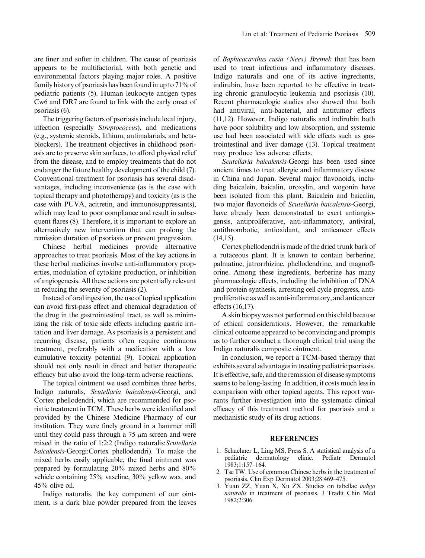are finer and softer in children. The cause of psoriasis appears to be multifactorial, with both genetic and environmental factors playing major roles. A positive family history of psoriasis has been found in up to 71% of pediatric patients (5). Human leukocyte antigen types Cw6 and DR7 are found to link with the early onset of psoriasis (6).

The triggering factors of psoriasis include local injury, infection (especially Streptococcus), and medications (e.g., systemic steroids, lithium, antimalarials, and betablockers). The treatment objectives in childhood psoriasis are to preserve skin surfaces, to afford physical relief from the disease, and to employ treatments that do not endanger the future healthy development of the child (7). Conventional treatment for psoriasis has several disadvantages, including inconvenience (as is the case with topical therapy and phototherapy) and toxicity (as is the case with PUVA, acitretin, and immunosuppressants), which may lead to poor compliance and result in subsequent flares (8). Therefore, it is important to explore an alternatively new intervention that can prolong the remission duration of psoriasis or prevent progression.

Chinese herbal medicines provide alternative approaches to treat psoriasis. Most of the key actions in these herbal medicines involve anti-inflammatory properties, modulation of cytokine production, or inhibition of angiogenesis. All these actions are potentially relevant in reducing the severity of psoriasis (2).

Instead of oral ingestion, the use of topical application can avoid first-pass effect and chemical degradation of the drug in the gastrointestinal tract, as well as minimizing the risk of toxic side effects including gastric irritation and liver damage. As psoriasis is a persistent and recurring disease, patients often require continuous treatment, preferably with a medication with a low cumulative toxicity potential (9). Topical application should not only result in direct and better therapeutic efficacy but also avoid the long-term adverse reactions.

The topical ointment we used combines three herbs, Indigo naturalis, Scutellaria baicalensis-Georgi, and Cortex phellodendri, which are recommended for psoriatic treatment in TCM. These herbs were identified and provided by the Chinese Medicine Pharmacy of our institution. They were finely ground in a hammer mill until they could pass through a  $75 \mu m$  screen and were mixed in the ratio of 1:2:2 (Indigo naturalis:Scutellaria baicalensis-Georgi:Cortex phellodendri). To make the mixed herbs easily applicable, the final ointment was prepared by formulating 20% mixed herbs and 80% vehicle containing 25% vaseline, 30% yellow wax, and 45% olive oil.

Indigo naturalis, the key component of our ointment, is a dark blue powder prepared from the leaves of Baphicacavthus cusia (Nees) Bremek that has been used to treat infectious and inflammatory diseases. Indigo naturalis and one of its active ingredients, indirubin, have been reported to be effective in treating chronic granulocytic leukemia and psoriasis (10). Recent pharmacologic studies also showed that both had antiviral, anti-bacterial, and antitumor effects (11,12). However, Indigo naturalis and indirubin both have poor solubility and low absorption, and systemic use had been associated with side effects such as gastrointestinal and liver damage (13). Topical treatment may produce less adverse effects.

Scutellaria baicalensis-Georgi has been used since ancient times to treat allergic and inflammatory disease in China and Japan. Several major flavonoids, including baicalein, baicalin, oroxylin, and wogonin have been isolated from this plant. Baicalein and baicalin, two major flavonoids of Scutellaria baicalensis-Georgi, have already been demonstrated to exert antiangiogensis, antiproliferative, anti-inflammatory, antiviral, antithrombotic, antioxidant, and anticancer effects (14,15).

Cortex phellodendri is made of the dried trunk bark of a rutaceous plant. It is known to contain berberine, palmatine, jatrorrhizine, phellodendrine, and magnoflorine. Among these ingredients, berberine has many pharmacologic effects, including the inhibition of DNA and protein synthesis, arresting cell cycle progress, antiproliferative as well as anti-inflammatory, and anticancer effects (16,17).

A skin biopsy was not performed on this child because of ethical considerations. However, the remarkable clinical outcome appeared to be convincing and prompts us to further conduct a thorough clinical trial using the Indigo naturalis composite ointment.

In conclusion, we report a TCM-based therapy that exhibits several advantages in treating pediatric psoriasis. It is effective, safe, and the remission of disease symptoms seems to be long-lasting. In addition, it costs much less in comparison with other topical agents. This report warrants further investigation into the systematic clinical efficacy of this treatment method for psoriasis and a mechanistic study of its drug actions.

## REFERENCES

- 1. Schachner L, Ling MS, Press S. A statistical analysis of a pediatric dermatology clinic. Pediatr Dermatol pediatric dermatology clinic. Pediatr Dermatol 1983;1:157–164.
- 2. Tse TW. Use of common Chinese herbs in the treatment of psoriasis. Clin Exp Dermatol 2003;28:469–475.
- 3. Yuan ZZ, Yuan X, Xu ZX. Studies on tabellae indigo naturalis in treatment of psoriasis. J Tradit Chin Med 1982;2:306.